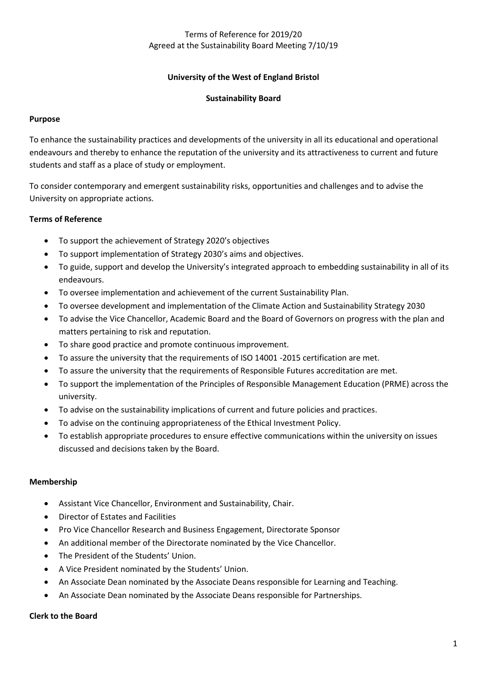# Terms of Reference for 2019/20 Agreed at the Sustainability Board Meeting 7/10/19

# **University of the West of England Bristol**

# **Sustainability Board**

## **Purpose**

To enhance the sustainability practices and developments of the university in all its educational and operational endeavours and thereby to enhance the reputation of the university and its attractiveness to current and future students and staff as a place of study or employment.

To consider contemporary and emergent sustainability risks, opportunities and challenges and to advise the University on appropriate actions.

### **Terms of Reference**

- To support the achievement of Strategy 2020's objectives
- To support implementation of Strategy 2030's aims and objectives.
- To guide, support and develop the University's integrated approach to embedding sustainability in all of its endeavours.
- To oversee implementation and achievement of the current Sustainability Plan.
- To oversee development and implementation of the Climate Action and Sustainability Strategy 2030
- To advise the Vice Chancellor, Academic Board and the Board of Governors on progress with the plan and matters pertaining to risk and reputation.
- To share good practice and promote continuous improvement.
- To assure the university that the requirements of ISO 14001 -2015 certification are met.
- To assure the university that the requirements of Responsible Futures accreditation are met.
- To support the implementation of the Principles of Responsible Management Education (PRME) across the university.
- To advise on the sustainability implications of current and future policies and practices.
- To advise on the continuing appropriateness of the Ethical Investment Policy.
- To establish appropriate procedures to ensure effective communications within the university on issues discussed and decisions taken by the Board.

### **Membership**

- Assistant Vice Chancellor, Environment and Sustainability, Chair.
- Director of Estates and Facilities
- Pro Vice Chancellor Research and Business Engagement, Directorate Sponsor
- An additional member of the Directorate nominated by the Vice Chancellor.
- The President of the Students' Union.
- A Vice President nominated by the Students' Union.
- An Associate Dean nominated by the Associate Deans responsible for Learning and Teaching.
- An Associate Dean nominated by the Associate Deans responsible for Partnerships.

# **Clerk to the Board**